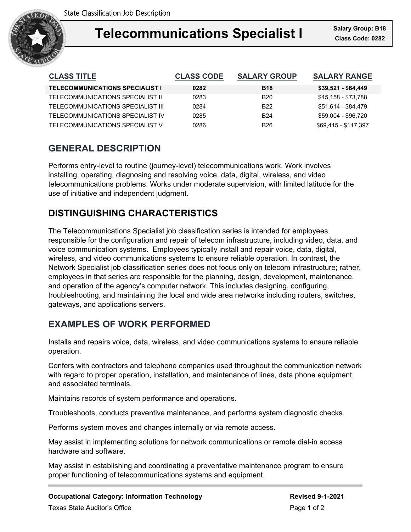

### **Telecommunications Conceived Integrals Changes Telecommunications Specialist I Class Code: 0282**

| <b>CLASS TITLE</b>                     | <b>CLASS CODE</b> | <b>SALARY GROUP</b> | <b>SALARY RANGE</b>  |
|----------------------------------------|-------------------|---------------------|----------------------|
| <b>TELECOMMUNICATIONS SPECIALIST I</b> | 0282              | <b>B18</b>          | $$39,521 - $64,449$  |
| TELECOMMUNICATIONS SPECIALIST II       | 0283              | <b>B20</b>          | \$45,158 - \$73,788  |
| TELECOMMUNICATIONS SPECIALIST III      | 0284              | B <sub>22</sub>     | \$51,614 - \$84,479  |
| TELECOMMUNICATIONS SPECIALIST IV       | 0285              | <b>B24</b>          | \$59,004 - \$96,720  |
| TELECOMMUNICATIONS SPECIALIST V        | 0286              | <b>B26</b>          | \$69,415 - \$117,397 |

## **GENERAL DESCRIPTION**

Performs entry-level to routine (journey-level) telecommunications work. Work involves installing, operating, diagnosing and resolving voice, data, digital, wireless, and video telecommunications problems. Works under moderate supervision, with limited latitude for the use of initiative and independent judgment.

# **DISTINGUISHING CHARACTERISTICS**

The Telecommunications Specialist job classification series is intended for employees responsible for the configuration and repair of telecom infrastructure, including video, data, and voice communication systems. Employees typically install and repair voice, data, digital, wireless, and video communications systems to ensure reliable operation. In contrast, the Network Specialist job classification series does not focus only on telecom infrastructure; rather, employees in that series are responsible for the planning, design, development, maintenance, and operation of the agency's computer network. This includes designing, configuring, troubleshooting, and maintaining the local and wide area networks including routers, switches, gateways, and applications servers.

## **EXAMPLES OF WORK PERFORMED**

Installs and repairs voice, data, wireless, and video communications systems to ensure reliable operation.

Confers with contractors and telephone companies used throughout the communication network with regard to proper operation, installation, and maintenance of lines, data phone equipment, and associated terminals.

Maintains records of system performance and operations.

Troubleshoots, conducts preventive maintenance, and performs system diagnostic checks.

Performs system moves and changes internally or via remote access.

May assist in implementing solutions for network communications or remote dial-in access hardware and software.

May assist in establishing and coordinating a preventative maintenance program to ensure proper functioning of telecommunications systems and equipment.